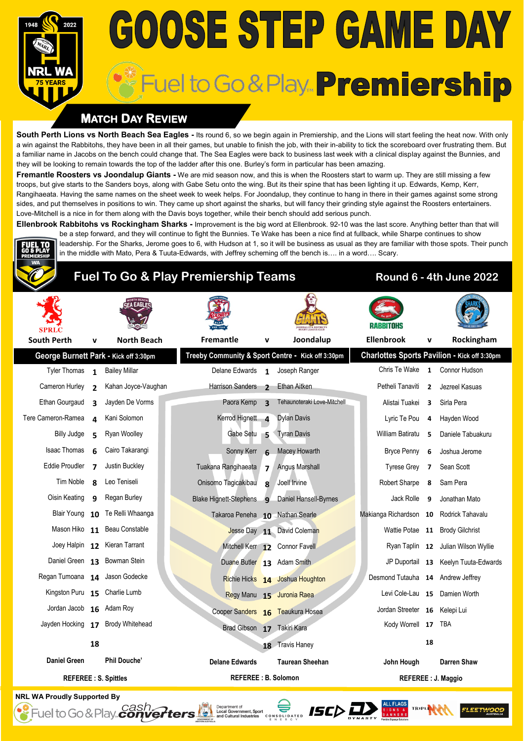# **GOOSE STEP GAME DAY** Fuel to Go & Play. Premiership

# **MATCH DAY REVIEW**

**South Perth Lions vs North Beach Sea Eagles -** Its round 6, so we begin again in Premiership, and the Lions will start feeling the heat now. With only a win against the Rabbitohs, they have been in all their games, but unable to finish the job, with their in-ability to tick the scoreboard over frustrating them. But a familiar name in Jacobs on the bench could change that. The Sea Eagles were back to business last week with a clinical display against the Bunnies, and they will be looking to remain towards the top of the ladder after this one. Burley's form in particular has been amazing.

**Fremantle Roosters vs Joondalup Giants -** We are mid season now, and this is when the Roosters start to warm up. They are still missing a few troops, but give starts to the Sanders boys, along with Gabe Setu onto the wing. But its their spine that has been lighting it up. Edwards, Kemp, Kerr, Rangihaeata. Having the same names on the sheet week to week helps. For Joondalup, they continue to hang in there in their games against some strong sides, and put themselves in positions to win. They came up short against the sharks, but will fancy their grinding style against the Roosters entertainers. Love-Mitchell is a nice in for them along with the Davis boys together, while their bench should add serious punch.

**Ellenbrook Rabbitohs vs Rockingham Sharks -** Improvement is the big word at Ellenbrook. 92-10 was the last score. Anything better than that will be a step forward, and they will continue to fight the Bunnies. Te Wake has been a nice find at fullback, while Sharpe continues to show leadership. For the Sharks, Jerome goes to 6, with Hudson at 1, so it will be business as usual as they are familiar with those spots. Their punch in the middle with Mato, Pera & Tuuta-Edwards, with Jeffrey scheming off the bench is…. in a word…. Scary.

# **Fuel To Go & Play Premiership Teams Round 6 - 4th June 2022**

| <b>South Perth</b>             | $\mathbf v$              | <b>North Beach</b>                    | <b>Fremantle</b>           |                        | v                        | Joondalup                                         | <b>Ellenbrook</b>                 | v                       | Rockingham                                   |
|--------------------------------|--------------------------|---------------------------------------|----------------------------|------------------------|--------------------------|---------------------------------------------------|-----------------------------------|-------------------------|----------------------------------------------|
|                                |                          | George Burnett Park - Kick off 3:30pm |                            |                        |                          | Treeby Community & Sport Centre - Kick off 3:30pm |                                   |                         | Charlottes Sports Pavilion - Kick off 3:30pm |
| <b>Tyler Thomas</b>            | $\mathbf{1}$             | <b>Bailey Millar</b>                  | Delane Edwards 1           |                        |                          | Joseph Ranger                                     | Chris Te Wake                     | $\mathbf{1}$            | Connor Hudson                                |
| Cameron Hurley                 | $\overline{\phantom{a}}$ | Kahan Joyce-Vaughan                   | Harrison Sanders           |                        | $\overline{\phantom{a}}$ | Ethan Aitken                                      | Petheli Tanaviti                  | $\overline{2}$          | Jezreel Kasuas                               |
| Ethan Gourgaud                 | ર                        | Jayden De Vorms                       | Paora Kemp <sub>3</sub>    |                        |                          | Tehaunoteraki Love-Mitchell                       | Alistai Tuakei                    | $\overline{\mathbf{3}}$ | Sirla Pera                                   |
| Tere Cameron-Ramea             | $\Delta$                 | Kani Solomon                          | Kerrod Hignett 4           |                        |                          | <b>Dylan Davis</b>                                | Lyric Te Pou                      | $\overline{4}$          | Hayden Wood                                  |
| <b>Billy Judge</b>             | 5                        | Ryan Woolley                          |                            | Gabe Setu <sub>5</sub> |                          | <b>Tyran Davis</b>                                | William Batiratu                  | 5                       | Daniele Tabuakuru                            |
| Isaac Thomas                   | 6                        | Cairo Takarangi                       | Sonny Kerr                 |                        | 6                        | Macey Howarth                                     | <b>Bryce Penny</b>                | 6                       | Joshua Jerome                                |
| <b>Eddie Proudler</b>          | 7                        | Justin Buckley                        | Tuakana Rangihaeata        |                        | $\overline{7}$           | <b>Angus Marshall</b>                             | <b>Tyrese Grey</b>                | $\overline{7}$          | Sean Scott                                   |
| Tim Noble                      | $\mathbf{R}$             | Leo Teniseli                          | Onisomo Tagicakibau        |                        | 8                        | Joell Irvine                                      | Robert Sharpe                     | 8                       | Sam Pera                                     |
| Oisin Keating                  | q                        | Regan Burley                          | Blake Hignett-Stephens 9   |                        |                          | Daniel Hansell-Byrnes                             | Jack Rolle                        | 9                       | Jonathan Mato                                |
| Blair Young                    |                          | 10 Te Relli Whaanga                   |                            |                        |                          | Takaroa Peneha 10 Nathan Searle                   | Makianga Richardson 10            |                         | Rodrick Tahavalu                             |
|                                |                          | Mason Hiko 11 Beau Constable          |                            |                        |                          | Jesse Day 11 David Coleman                        |                                   |                         | Wattie Potae 11 Brody Gilchrist              |
|                                |                          | Joey Halpin 12 Kieran Tarrant         |                            |                        |                          | Mitchell Kerr 12 Connor Favell                    |                                   |                         | Ryan Taplin 12 Julian Wilson Wyllie          |
|                                |                          | Daniel Green 13 Bowman Stein          |                            |                        |                          | Duane Butler 13 Adam Smith                        |                                   |                         | JP Duportail 13 Keelyn Tuuta-Edwards         |
| Regan Tumoana 14 Jason Godecke |                          |                                       |                            |                        |                          | Richie Hicks 14 Joshua Houghton                   | Desmond Tutauha 14 Andrew Jeffrey |                         |                                              |
| Kingston Puru 15 Charlie Lumb  |                          |                                       |                            |                        |                          | Regy Manu 15 Juronia Raea                         |                                   |                         | Levi Cole-Lau 15 Damien Worth                |
| Jordan Jacob                   |                          | 16 Adam Roy                           |                            |                        |                          | Cooper Sanders 16 Teaukura Hosea                  | Jordan Streeter 16 Kelepi Lui     |                         |                                              |
| Jayden Hocking                 |                          | 17 Brody Whitehead                    |                            |                        |                          | Brad Gibson 17 Takiri Kara                        | Kody Worrell 17                   |                         | TBA                                          |
|                                | 18                       |                                       |                            |                        |                          | 18 Travis Haney                                   |                                   | 18                      |                                              |
| <b>Daniel Green</b>            |                          | <b>Phil Douche'</b>                   | <b>Delane Edwards</b>      |                        |                          | <b>Taurean Sheehan</b>                            | John Hough                        |                         | Darren Shaw                                  |
| <b>REFEREE: S. Spittles</b>    |                          |                                       | <b>REFEREE: B. Solomon</b> |                        |                          | REFEREE : J. Maggio                               |                                   |                         |                                              |

**NRL WA Proudly Supported By**